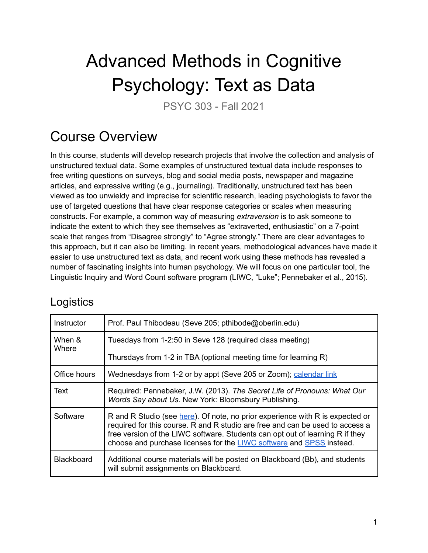# Advanced Methods in Cognitive Psychology: Text as Data

PSYC 303 - Fall 2021

### Course Overview

In this course, students will develop research projects that involve the collection and analysis of unstructured textual data. Some examples of unstructured textual data include responses to free writing questions on surveys, blog and social media posts, newspaper and magazine articles, and expressive writing (e.g., journaling). Traditionally, unstructured text has been viewed as too unwieldy and imprecise for scientific research, leading psychologists to favor the use of targeted questions that have clear response categories or scales when measuring constructs. For example, a common way of measuring *extraversion* is to ask someone to indicate the extent to which they see themselves as "extraverted, enthusiastic" on a 7-point scale that ranges from "Disagree strongly" to "Agree strongly." There are clear advantages to this approach, but it can also be limiting. In recent years, methodological advances have made it easier to use unstructured text as data, and recent work using these methods has revealed a number of fascinating insights into human psychology. We will focus on one particular tool, the Linguistic Inquiry and Word Count software program (LIWC, "Luke"; [Pennebaker](https://www.zotero.org/google-docs/?twGKkd) et al., 2015).

#### **Logistics**

| Instructor        | Prof. Paul Thibodeau (Seve 205; pthibode@oberlin.edu)                                                                                                                                                                                                                                                                   |  |  |
|-------------------|-------------------------------------------------------------------------------------------------------------------------------------------------------------------------------------------------------------------------------------------------------------------------------------------------------------------------|--|--|
| When &<br>Where   | Tuesdays from 1-2:50 in Seve 128 (required class meeting)                                                                                                                                                                                                                                                               |  |  |
|                   | Thursdays from 1-2 in TBA (optional meeting time for learning R)                                                                                                                                                                                                                                                        |  |  |
| Office hours      | Wednesdays from 1-2 or by appt (Seve 205 or Zoom); calendar link                                                                                                                                                                                                                                                        |  |  |
| Text              | Required: Pennebaker, J.W. (2013). The Secret Life of Pronouns: What Our<br>Words Say about Us. New York: Bloomsbury Publishing.                                                                                                                                                                                        |  |  |
| Software          | R and R Studio (see here). Of note, no prior experience with R is expected or<br>required for this course. R and R studio are free and can be used to access a<br>free version of the LIWC software. Students can opt out of learning R if they<br>choose and purchase licenses for the LIWC software and SPSS instead. |  |  |
| <b>Blackboard</b> | Additional course materials will be posted on Blackboard (Bb), and students<br>will submit assignments on Blackboard.                                                                                                                                                                                                   |  |  |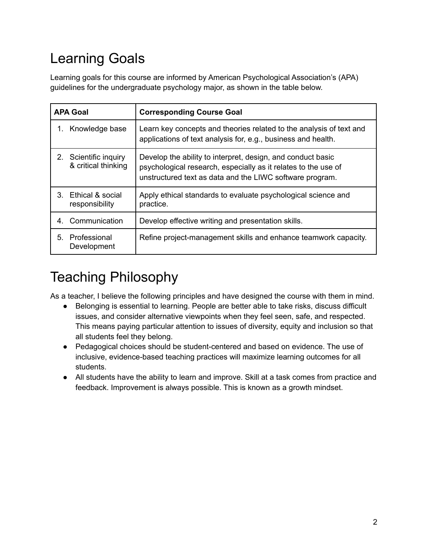### Learning Goals

Learning goals for this course are informed by American Psychological Association's (APA) guidelines for the undergraduate psychology major, as shown in the table below.

| <b>APA Goal</b> |                                           | <b>Corresponding Course Goal</b>                                                                                                                                                          |  |
|-----------------|-------------------------------------------|-------------------------------------------------------------------------------------------------------------------------------------------------------------------------------------------|--|
| 1.              | Knowledge base                            | Learn key concepts and theories related to the analysis of text and<br>applications of text analysis for, e.g., business and health.                                                      |  |
| $2_{-}$         | Scientific inquiry<br>& critical thinking | Develop the ability to interpret, design, and conduct basic<br>psychological research, especially as it relates to the use of<br>unstructured text as data and the LIWC software program. |  |
| 3.              | Ethical & social<br>responsibility        | Apply ethical standards to evaluate psychological science and<br>practice.                                                                                                                |  |
| 4.              | Communication                             | Develop effective writing and presentation skills.                                                                                                                                        |  |
| 5.              | Professional<br>Development               | Refine project-management skills and enhance teamwork capacity.                                                                                                                           |  |

## Teaching Philosophy

As a teacher, I believe the following principles and have designed the course with them in mind.

- Belonging is essential to learning. People are better able to take risks, discuss difficult issues, and consider alternative viewpoints when they feel seen, safe, and respected. This means paying particular attention to issues of diversity, equity and inclusion so that all students feel they belong.
- Pedagogical choices should be student-centered and based on evidence. The use of inclusive, evidence-based teaching practices will maximize learning outcomes for all students.
- All students have the ability to learn and improve. Skill at a task comes from practice and feedback. Improvement is always possible. This is known as a growth mindset.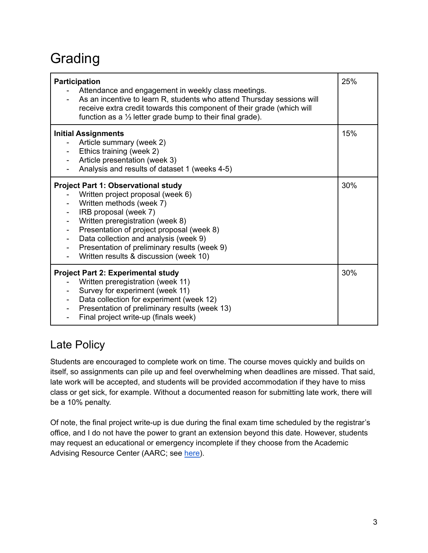### Grading

| Participation<br>Attendance and engagement in weekly class meetings.<br>As an incentive to learn R, students who attend Thursday sessions will<br>receive extra credit towards this component of their grade (which will<br>function as a $\frac{1}{3}$ letter grade bump to their final grade).                                                         | 25% |
|----------------------------------------------------------------------------------------------------------------------------------------------------------------------------------------------------------------------------------------------------------------------------------------------------------------------------------------------------------|-----|
| <b>Initial Assignments</b><br>Article summary (week 2)<br>Ethics training (week 2)<br>Article presentation (week 3)<br>Analysis and results of dataset 1 (weeks 4-5)                                                                                                                                                                                     | 15% |
| <b>Project Part 1: Observational study</b><br>Written project proposal (week 6)<br>Written methods (week 7)<br>IRB proposal (week 7)<br>Written preregistration (week 8)<br>Presentation of project proposal (week 8)<br>Data collection and analysis (week 9)<br>Presentation of preliminary results (week 9)<br>Written results & discussion (week 10) | 30% |
| <b>Project Part 2: Experimental study</b><br>Written preregistration (week 11)<br>Survey for experiment (week 11)<br>Data collection for experiment (week 12)<br>Presentation of preliminary results (week 13)<br>Final project write-up (finals week)                                                                                                   | 30% |

#### Late Policy

Students are encouraged to complete work on time. The course moves quickly and builds on itself, so assignments can pile up and feel overwhelming when deadlines are missed. That said, late work will be accepted, and students will be provided accommodation if they have to miss class or get sick, for example. Without a documented reason for submitting late work, there will be a 10% penalty.

Of note, the final project write-up is due during the final exam time scheduled by the registrar's office, and I do not have the power to grant an extension beyond this date. However, students may request an educational or emergency incomplete if they choose from the Academic Advising Resource Center (AARC; see [here\)](https://www.oberlin.edu/aarc/academic-polices-procedures/incompletes).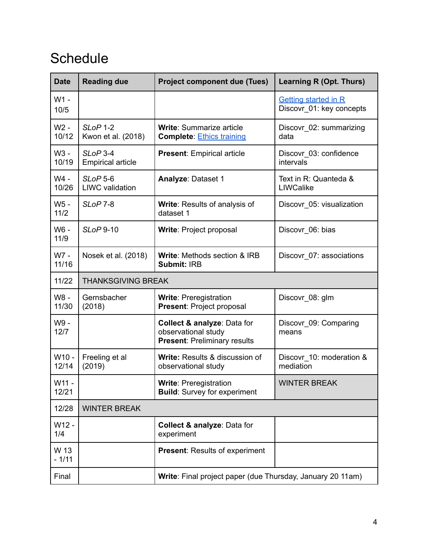### **Schedule**

| <b>Date</b>     | <b>Reading due</b>                                         | <b>Project component due (Tues)</b>                                                       | Learning R (Opt. Thurs)                                 |  |  |
|-----------------|------------------------------------------------------------|-------------------------------------------------------------------------------------------|---------------------------------------------------------|--|--|
| W1 -<br>10/5    |                                                            |                                                                                           | <b>Getting started in R</b><br>Discovr_01: key concepts |  |  |
| W2 -<br>10/12   | SLoP 1-2<br>Kwon et al. (2018)                             | <b>Write: Summarize article</b><br><b>Complete: Ethics training</b>                       | Discovr_02: summarizing<br>data                         |  |  |
| W3 -<br>10/19   | $SLoP$ 3-4<br><b>Empirical article</b>                     | <b>Present: Empirical article</b>                                                         | Discovr 03: confidence<br>intervals                     |  |  |
| W4 -<br>10/26   | SLoP <sub>5-6</sub><br><b>LIWC</b> validation              | <b>Analyze: Dataset 1</b>                                                                 | Text in R: Quanteda &<br>LIWCalike                      |  |  |
| W5 -<br>$11/2$  | SLoP <sub>7-8</sub>                                        | Write: Results of analysis of<br>dataset 1                                                | Discovr_05: visualization                               |  |  |
| W6 -<br>11/9    | <b>SLoP 9-10</b>                                           | <b>Write: Project proposal</b>                                                            | Discovr_06: bias                                        |  |  |
| W7 -<br>11/16   | Nosek et al. (2018)                                        | Write: Methods section & IRB<br>Submit: IRB                                               | Discovr_07: associations                                |  |  |
| 11/22           | <b>THANKSGIVING BREAK</b>                                  |                                                                                           |                                                         |  |  |
| W8 -<br>11/30   | Gernsbacher<br>(2018)                                      | <b>Write: Preregistration</b><br><b>Present: Project proposal</b>                         | Discovr_08: glm                                         |  |  |
| W9 -<br>12/7    |                                                            | Collect & analyze: Data for<br>observational study<br><b>Present: Preliminary results</b> | Discovr_09: Comparing<br>means                          |  |  |
| W10 -<br>12/14  | Freeling et al<br>(2019)                                   | Write: Results & discussion of<br>observational study                                     | Discovr_10: moderation &<br>mediation                   |  |  |
| W11 -<br>12/21  |                                                            | <b>Write: Preregistration</b><br><b>Build:</b> Survey for experiment                      | <b>WINTER BREAK</b>                                     |  |  |
| 12/28           | <b>WINTER BREAK</b>                                        |                                                                                           |                                                         |  |  |
| W12 -<br>1/4    |                                                            | Collect & analyze: Data for<br>experiment                                                 |                                                         |  |  |
| W 13<br>$-1/11$ |                                                            | <b>Present: Results of experiment</b>                                                     |                                                         |  |  |
| Final           | Write: Final project paper (due Thursday, January 20 11am) |                                                                                           |                                                         |  |  |